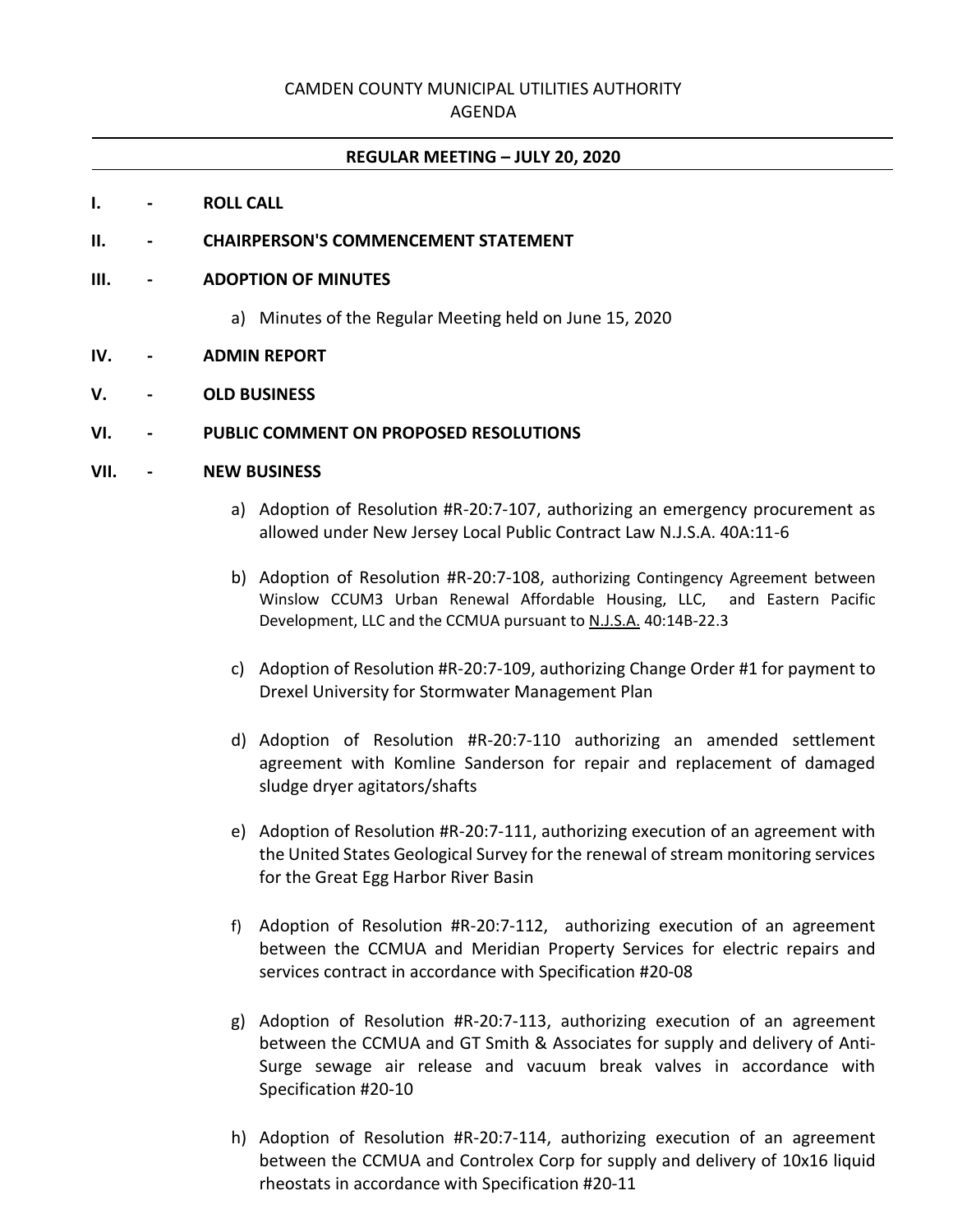# CAMDEN COUNTY MUNICIPAL UTILITIES AUTHORITY

### AGENDA

#### **REGULAR MEETING – JULY 20, 2020**

#### **I. - ROLL CALL**

#### **II. - CHAIRPERSON'S COMMENCEMENT STATEMENT**

#### **III. - ADOPTION OF MINUTES**

a) Minutes of the Regular Meeting held on June 15, 2020

#### **IV. - ADMIN REPORT**

## **V. - OLD BUSINESS**

# **VI. - PUBLIC COMMENT ON PROPOSED RESOLUTIONS**

### **VII. - NEW BUSINESS**

- a) Adoption of Resolution #R-20:7-107, authorizing an emergency procurement as allowed under New Jersey Local Public Contract Law N.J.S.A. 40A:11-6
- b) Adoption of Resolution #R-20:7-108, authorizing Contingency Agreement between Winslow CCUM3 Urban Renewal Affordable Housing, LLC, and Eastern Pacific Development, LLC and the CCMUA pursuant to N.J.S.A. 40:14B-22.3
- c) Adoption of Resolution #R-20:7-109, authorizing Change Order #1 for payment to Drexel University for Stormwater Management Plan
- d) Adoption of Resolution #R-20:7-110 authorizing an amended settlement agreement with Komline Sanderson for repair and replacement of damaged sludge dryer agitators/shafts
- e) Adoption of Resolution #R-20:7-111, authorizing execution of an agreement with the United States Geological Survey for the renewal of stream monitoring services for the Great Egg Harbor River Basin
- f) Adoption of Resolution #R-20:7-112, authorizing execution of an agreement between the CCMUA and Meridian Property Services for electric repairs and services contract in accordance with Specification #20-08
- g) Adoption of Resolution #R-20:7-113, authorizing execution of an agreement between the CCMUA and GT Smith & Associates for supply and delivery of Anti-Surge sewage air release and vacuum break valves in accordance with Specification #20-10
- h) Adoption of Resolution #R-20:7-114, authorizing execution of an agreement between the CCMUA and Controlex Corp for supply and delivery of 10x16 liquid rheostats in accordance with Specification #20-11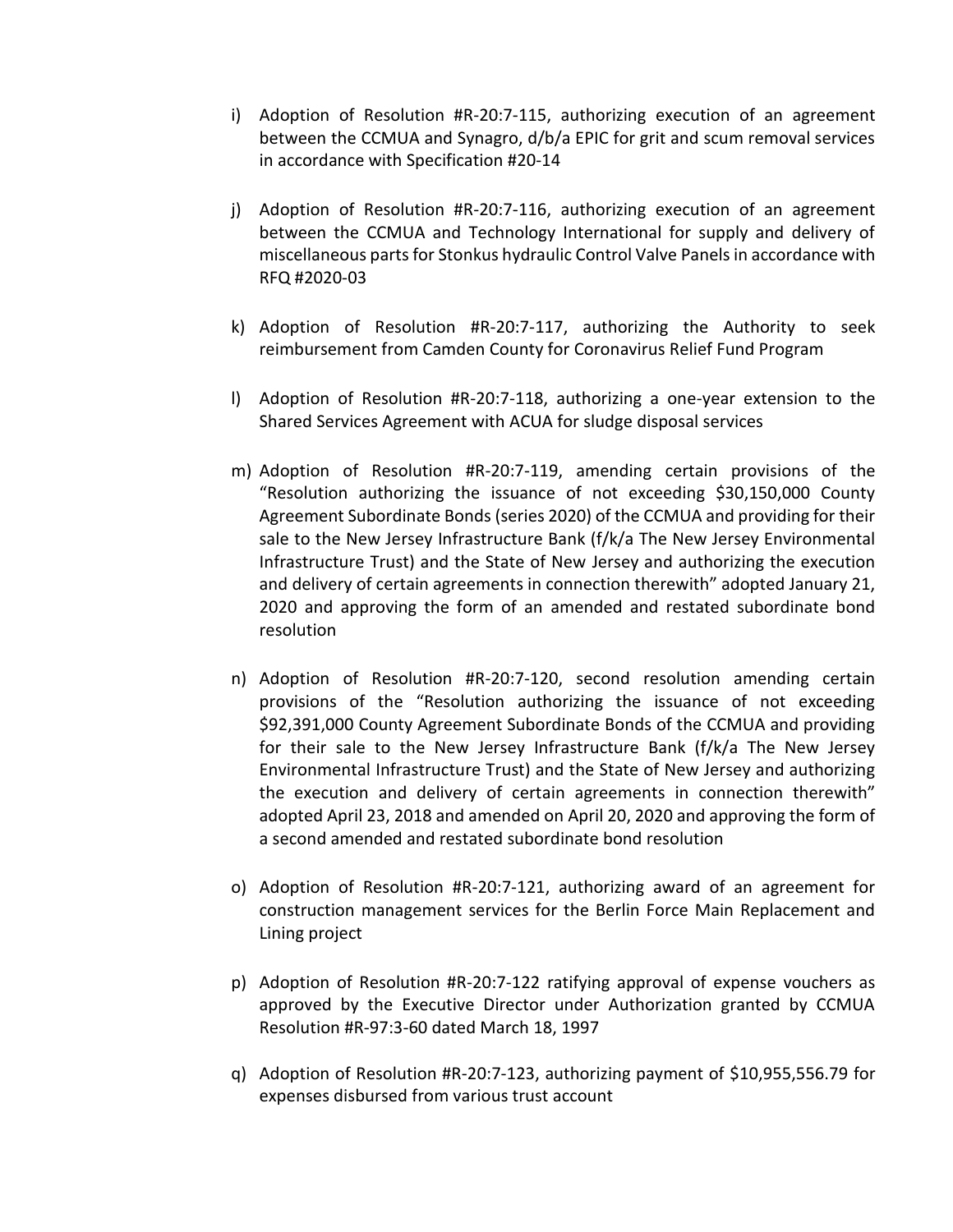- i) Adoption of Resolution #R-20:7-115, authorizing execution of an agreement between the CCMUA and Synagro, d/b/a EPIC for grit and scum removal services in accordance with Specification #20-14
- j) Adoption of Resolution #R-20:7-116, authorizing execution of an agreement between the CCMUA and Technology International for supply and delivery of miscellaneous parts for Stonkus hydraulic Control Valve Panels in accordance with RFQ #2020-03
- k) Adoption of Resolution #R-20:7-117, authorizing the Authority to seek reimbursement from Camden County for Coronavirus Relief Fund Program
- l) Adoption of Resolution #R-20:7-118, authorizing a one-year extension to the Shared Services Agreement with ACUA for sludge disposal services
- m) Adoption of Resolution #R-20:7-119, amending certain provisions of the "Resolution authorizing the issuance of not exceeding \$30,150,000 County Agreement Subordinate Bonds (series 2020) of the CCMUA and providing for their sale to the New Jersey Infrastructure Bank (f/k/a The New Jersey Environmental Infrastructure Trust) and the State of New Jersey and authorizing the execution and delivery of certain agreements in connection therewith" adopted January 21, 2020 and approving the form of an amended and restated subordinate bond resolution
- n) Adoption of Resolution #R-20:7-120, second resolution amending certain provisions of the "Resolution authorizing the issuance of not exceeding \$92,391,000 County Agreement Subordinate Bonds of the CCMUA and providing for their sale to the New Jersey Infrastructure Bank (f/k/a The New Jersey Environmental Infrastructure Trust) and the State of New Jersey and authorizing the execution and delivery of certain agreements in connection therewith" adopted April 23, 2018 and amended on April 20, 2020 and approving the form of a second amended and restated subordinate bond resolution
- o) Adoption of Resolution #R-20:7-121, authorizing award of an agreement for construction management services for the Berlin Force Main Replacement and Lining project
- p) Adoption of Resolution #R-20:7-122 ratifying approval of expense vouchers as approved by the Executive Director under Authorization granted by CCMUA Resolution #R-97:3-60 dated March 18, 1997
- q) Adoption of Resolution #R-20:7-123, authorizing payment of \$10,955,556.79 for expenses disbursed from various trust account